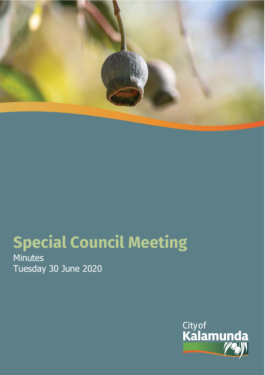

# **Special Council Meeting**

Minutes Tuesday 30 June 2020

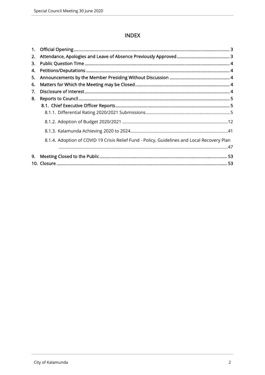## **INDEX**

| 1. |                                                                                             |  |
|----|---------------------------------------------------------------------------------------------|--|
| 2. |                                                                                             |  |
| 3. |                                                                                             |  |
| 4. |                                                                                             |  |
| 5. |                                                                                             |  |
| 6. |                                                                                             |  |
| 7. |                                                                                             |  |
| 8. |                                                                                             |  |
|    |                                                                                             |  |
|    |                                                                                             |  |
|    |                                                                                             |  |
|    |                                                                                             |  |
|    | 8.1.4. Adoption of COVID 19 Crisis Relief Fund - Policy, Guidelines and Local Recovery Plan |  |
|    |                                                                                             |  |
| 9. |                                                                                             |  |
|    |                                                                                             |  |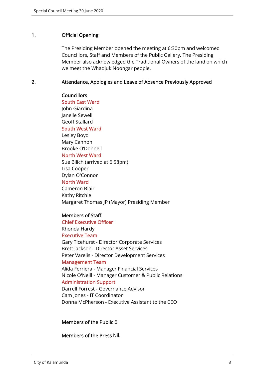#### 1. Official Opening

The Presiding Member opened the meeting at 6:30pm and welcomed Councillors, Staff and Members of the Public Gallery. The Presiding Member also acknowledged the Traditional Owners of the land on which we meet the Whadjuk Noongar people.

### 2. Attendance, Apologies and Leave of Absence Previously Approved

#### **Councillors**

South East Ward John Giardina Janelle Sewell Geoff Stallard South West Ward Lesley Boyd Mary Cannon Brooke O'Donnell North West Ward Sue Bilich (arrived at 6:58pm) Lisa Cooper Dylan O'Connor North Ward Cameron Blair Kathy Ritchie Margaret Thomas JP (Mayor) Presiding Member

#### Members of Staff

Chief Executive Officer

Rhonda Hardy

Executive Team

Gary Ticehurst - Director Corporate Services Brett Jackson - Director Asset Services Peter Varelis - Director Development Services

#### Management Team

Alida Ferriera - Manager Financial Services Nicole O'Neill - Manager Customer & Public Relations Administration Support Darrell Forrest - Governance Advisor Cam Jones - IT Coordinator

Donna McPherson - Executive Assistant to the CEO

## Members of the Public 6

Members of the Press Nil.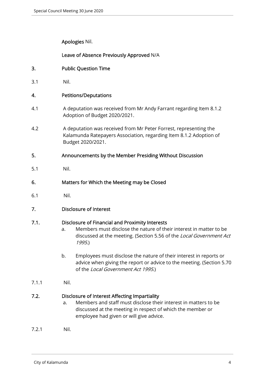Apologies Nil.

Leave of Absence Previously Approved N/A

- 3. Public Question Time
- 3.1 Nil.

## 4. Petitions/Deputations

- 4.1 A deputation was received from Mr Andy Farrant regarding Item 8.1.2 Adoption of Budget 2020/2021.
- 4.2 A deputation was received from Mr Peter Forrest, representing the Kalamunda Ratepayers Association, regarding Item 8.1.2 Adoption of Budget 2020/2021.
- 5. Announcements by the Member Presiding Without Discussion
- 5.1 Nil.
- 6. Matters for Which the Meeting may be Closed
- 6.1 Nil.
- 7. Disclosure of Interest

## 7.1. Disclosure of Financial and Proximity Interests

- a. Members must disclose the nature of their interest in matter to be discussed at the meeting. (Section 5.56 of the Local Government Act 1995.)
- b. Employees must disclose the nature of their interest in reports or advice when giving the report or advice to the meeting. (Section 5.70 of the Local Government Act 1995.)
- 7.1.1 Nil.

## 7.2. Disclosure of Interest Affecting Impartiality

- a. Members and staff must disclose their interest in matters to be discussed at the meeting in respect of which the member or employee had given or will give advice.
- 7.2.1 Nil.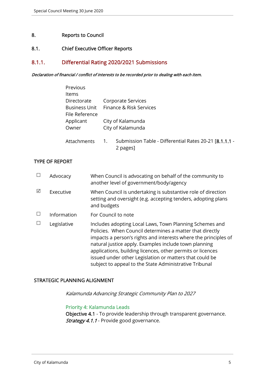## 8. Reports to Council

## 8.1. Chief Executive Officer Reports

## 8.1.1. Differential Rating 2020/2021 Submissions

#### Declaration of financial / conflict of interests to be recorded prior to dealing with each item.

| Previous             |    |                                                                    |
|----------------------|----|--------------------------------------------------------------------|
| Items                |    |                                                                    |
| Directorate          |    | Corporate Services                                                 |
| <b>Business Unit</b> |    | Finance & Risk Services                                            |
| File Reference       |    |                                                                    |
| Applicant            |    | City of Kalamunda                                                  |
| Owner                |    | City of Kalamunda                                                  |
|                      |    |                                                                    |
| Attachments          | 1. | Submission Table - Differential Rates 20-21 [8.1.1.1 -<br>2 pages] |
|                      |    |                                                                    |

#### TYPE OF REPORT

|   | Advocacy    | When Council is advocating on behalf of the community to<br>another level of government/body/agency                                                                                                                                                                                                                                                                                                                                |
|---|-------------|------------------------------------------------------------------------------------------------------------------------------------------------------------------------------------------------------------------------------------------------------------------------------------------------------------------------------------------------------------------------------------------------------------------------------------|
| ⊠ | Executive   | When Council is undertaking is substantive role of direction<br>setting and oversight (e.g. accepting tenders, adopting plans<br>and budgets                                                                                                                                                                                                                                                                                       |
|   | Information | For Council to note                                                                                                                                                                                                                                                                                                                                                                                                                |
|   | Legislative | Includes adopting Local Laws, Town Planning Schemes and<br>Policies. When Council determines a matter that directly<br>impacts a person's rights and interests where the principles of<br>natural justice apply. Examples include town planning<br>applications, building licences, other permits or licences<br>issued under other Legislation or matters that could be<br>subject to appeal to the State Administrative Tribunal |

## STRATEGIC PLANNING ALIGNMENT

Kalamunda Advancing Strategic Community Plan to 2027

#### Priority 4: Kalamunda Leads

Objective 4.1 - To provide leadership through transparent governance. Strategy 4.1.1 - Provide good governance.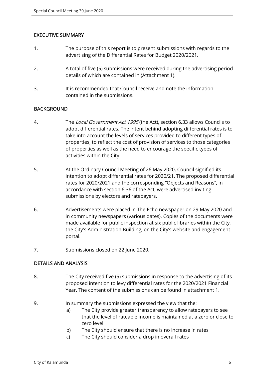## EXECUTIVE SUMMARY

- 1. The purpose of this report is to present submissions with regards to the advertising of the Differential Rates for Budget 2020/2021.
- 2. A total of five (5) submissions were received during the advertising period details of which are contained in (Attachment 1).
- 3. It is recommended that Council receive and note the information contained in the submissions.

## BACKGROUND

- 4. The Local Government Act 1995 (the Act), section 6.33 allows Councils to adopt differential rates. The intent behind adopting differential rates is to take into account the levels of services provided to different types of properties, to reflect the cost of provision of services to those categories of properties as well as the need to encourage the specific types of activities within the City.
- 5. At the Ordinary Council Meeting of 26 May 2020, Council signified its intention to adopt differential rates for 2020/21. The proposed differential rates for 2020/2021 and the corresponding "Objects and Reasons", in accordance with section 6.36 of the Act, were advertised inviting submissions by electors and ratepayers.
- 6. Advertisements were placed in The Echo newspaper on 29 May 2020 and in community newspapers (various dates). Copies of the documents were made available for public inspection at six public libraries within the City, the City's Administration Building, on the City's website and engagement portal.
- 7. Submissions closed on 22 June 2020.

## DETAILS AND ANALYSIS

- 8. The City received five (5) submissions in response to the advertising of its proposed intention to levy differential rates for the 2020/2021 Financial Year. The content of the submissions can be found in attachment 1.
- 9. In summary the submissions expressed the view that the:
	- a) The City provide greater transparency to allow ratepayers to see that the level of rateable income is maintained at a zero or close to zero level
	- b) The City should ensure that there is no increase in rates
	- c) The City should consider a drop in overall rates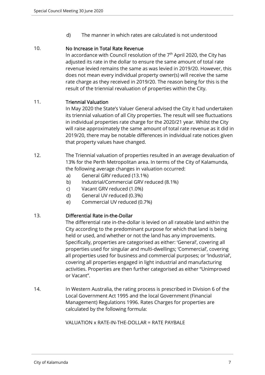d) The manner in which rates are calculated is not understood

## 10. No Increase in Total Rate Revenue

In accordance with Council resolution of the  $7<sup>th</sup>$  April 2020, the City has adjusted its rate in the dollar to ensure the same amount of total rate revenue levied remains the same as was levied in 2019/20. However, this does not mean every individual property owner(s) will receive the same rate charge as they received in 2019/20. The reason being for this is the result of the triennial revaluation of properties within the City.

## 11. Triennial Valuation

In May 2020 the State's Valuer General advised the City it had undertaken its triennial valuation of all City properties. The result will see fluctuations in individual properties rate charge for the 2020/21 year. Whilst the City will raise approximately the same amount of total rate revenue as it did in 2019/20, there may be notable differences in individual rate notices given that property values have changed.

- 12. The Triennial valuation of properties resulted in an average devaluation of 13% for the Perth Metropolitan area. In terms of the City of Kalamunda, the following average changes in valuation occurred:
	- a) General GRV reduced (13.1%)
	- b) Industrial/Commercial GRV reduced (8.1%)
	- c) Vacant GRV reduced (1.0%)
	- d) General UV reduced (0.3%)
	- e) Commercial UV reduced (0.7%)

## 13. Differential Rate in-the-Dollar

The differential rate in-the-dollar is levied on all rateable land within the City according to the predominant purpose for which that land is being held or used, and whether or not the land has any improvements. Specifically, properties are categorised as either: 'General', covering all properties used for singular and multi-dwellings; 'Commercial', covering all properties used for business and commercial purposes; or 'Industrial', covering all properties engaged in light industrial and manufacturing activities. Properties are then further categorised as either "Unimproved or Vacant".

14. In Western Australia, the rating process is prescribed in Division 6 of the Local Government Act 1995 and the local Government (Financial Management) Regulations 1996. Rates Charges for properties are calculated by the following formula:

## VALUATION x RATE-IN-THE-DOLLAR = RATE PAYBALE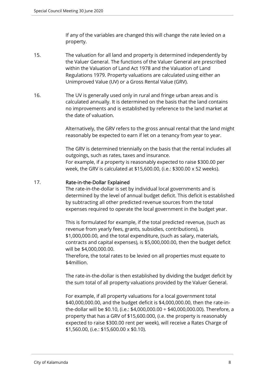If any of the variables are changed this will change the rate levied on a property.

- 15. The valuation for all land and property is determined independently by the Valuer General. The functions of the Valuer General are prescribed within the Valuation of Land Act 1978 and the Valuation of Land Regulations 1979. Property valuations are calculated using either an Unimproved Value (UV) or a Gross Rental Value (GRV).
- 16. The UV is generally used only in rural and fringe urban areas and is calculated annually. It is determined on the basis that the land contains no improvements and is established by reference to the land market at the date of valuation.

Alternatively, the GRV refers to the gross annual rental that the land might reasonably be expected to earn if let on a tenancy from year to year.

The GRV is determined triennially on the basis that the rental includes all outgoings, such as rates, taxes and insurance.

For example, if a property is reasonably expected to raise \$300.00 per week, the GRV is calculated at \$15,600.00, (i.e.: \$300.00 x 52 weeks).

## 17. Rate-in-the-Dollar Explained

The rate-in-the-dollar is set by individual local governments and is determined by the level of annual budget deficit. This deficit is established by subtracting all other predicted revenue sources from the total expenses required to operate the local government in the budget year.

This is formulated for example, if the total predicted revenue, (such as revenue from yearly fees, grants, subsidies, contributions), is \$1,000,000.00, and the total expenditure, (such as salary, materials, contracts and capital expenses), is \$5,000,000.00, then the budget deficit will be \$4,000,000.00.

Therefore, the total rates to be levied on all properties must equate to \$4million.

The rate-in-the-dollar is then established by dividing the budget deficit by the sum total of all property valuations provided by the Valuer General.

For example, if all property valuations for a local government total \$40,000,000.00, and the budget deficit is \$4,000,000.00, then the rate-inthe-dollar will be \$0.10, (i.e.: \$4,000,000.00  $\div$  \$40,000,000.00). Therefore, a property that has a GRV of \$15,600.000, (i.e. the property is reasonably expected to raise \$300.00 rent per week), will receive a Rates Charge of \$1,560.00, (i.e.: \$15,600.00 x \$0.10).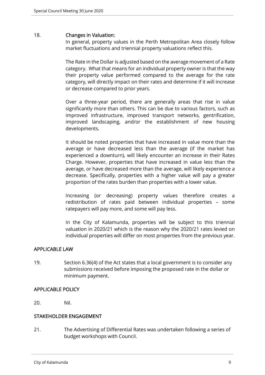#### 18. Changes in Valuation:

In general, property values in the Perth Metropolitan Area closely follow market fluctuations and triennial property valuations reflect this.

The Rate in the Dollar is adjusted based on the average movement of a Rate category. What that means for an individual property owner is that the way their property value performed compared to the average for the rate category, will directly impact on their rates and determine if it will increase or decrease compared to prior years.

Over a three-year period, there are generally areas that rise in value significantly more than others. This can be due to various factors, such as improved infrastructure, improved transport networks, gentrification, improved landscaping, and/or the establishment of new housing developments.

It should be noted properties that have increased in value more than the average or have decreased less than the average (if the market has experienced a downturn), will likely encounter an increase in their Rates Charge. However, properties that have increased in value less than the average, or have decreased more than the average, will likely experience a decrease. Specifically, properties with a higher value will pay a greater proportion of the rates burden than properties with a lower value.

Increasing (or decreasing) property values therefore creates a redistribution of rates paid between individual properties – some ratepayers will pay more, and some will pay less.

In the City of Kalamunda, properties will be subject to this triennial valuation in 2020/21 which is the reason why the 2020/21 rates levied on individual properties will differ on most properties from the previous year.

## APPLICABLE LAW

19. Section 6.36(4) of the Act states that a local government is to consider any submissions received before imposing the proposed rate in the dollar or minimum payment.

## APPLICABLE POLICY

20. Nil.

## STAKEHOLDER ENGAGEMENT

21. The Advertising of Differential Rates was undertaken following a series of budget workshops with Council.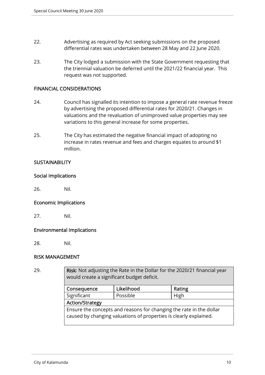- 22. Advertising as required by Act seeking submissions on the proposed differential rates was undertaken between 28 May and 22 June 2020.
- 23. The City lodged a submission with the State Government requesting that the triennial valuation be deferred until the 2021/22 financial year. This request was not supported.

### FINANCIAL CONSIDERATIONS

- 24. Council has signalled its intention to impose a general rate revenue freeze by advertising the proposed differential rates for 2020/21. Changes in valuations and the revaluation of unimproved value properties may see variations to this general increase for some properties.
- 25. The City has estimated the negative financial impact of adopting no increase in rates revenue and fees and charges equates to around \$1 million.

## **SUSTAINABILITY**

#### Social Implications

26. Nil.

#### Economic Implications

27. Nil.

#### Environmental Implications

28. Nil.

## RISK MANAGEMENT

29. **Risk:** Not adjusting the Rate in the Dollar for the 2020/21 financial year would create a significant budget deficit.

| Consequence                                                                                                                              | Likelihood | Rating |  |  |
|------------------------------------------------------------------------------------------------------------------------------------------|------------|--------|--|--|
| Significant                                                                                                                              | Possible   | High   |  |  |
| <b>Action/Strategy</b>                                                                                                                   |            |        |  |  |
| Ensure the concepts and reasons for changing the rate in the dollar<br>caused by changing valuations of properties is clearly explained. |            |        |  |  |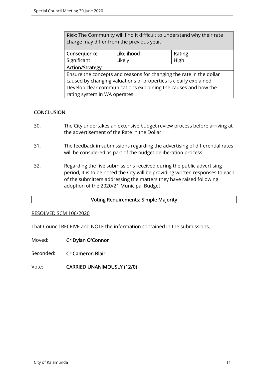Risk: The Community will find it difficult to understand why their rate charge may differ from the previous year.

| Consequence                                                         | Likelihood | Rating |  |
|---------------------------------------------------------------------|------------|--------|--|
| Significant                                                         | Likely     | High   |  |
| Action/Strategy                                                     |            |        |  |
| Ensure the concepts and reasons for changing the rate in the dollar |            |        |  |
| caused by changing valuations of properties is clearly explained.   |            |        |  |
| Develop clear communications explaining the causes and how the      |            |        |  |
| rating system in WA operates.                                       |            |        |  |

## **CONCLUSION**

- 30. The City undertakes an extensive budget review process before arriving at the advertisement of the Rate in the Dollar.
- 31. The feedback in submissions regarding the advertising of differential rates will be considered as part of the budget deliberation process.
- 32. Regarding the five submissions received during the public advertising period, it is to be noted the City will be providing written responses to each of the submitters addressing the matters they have raised following adoption of the 2020/21 Municipal Budget.

## Voting Requirements: Simple Majority

#### RESOLVED SCM 106/2020

That Council RECEIVE and NOTE the information contained in the submissions.

Moved: Cr Dylan O'Connor

Seconded: Cr Cameron Blair

Vote: CARRIED UNANIMOUSLY (12/0)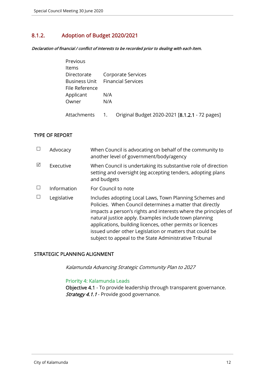# 8.1.2. Adoption of Budget 2020/2021

Declaration of financial / conflict of interests to be recorded prior to dealing with each item.

| Previous             |     |                                                |
|----------------------|-----|------------------------------------------------|
| Items                |     |                                                |
| Directorate          |     | Corporate Services                             |
| <b>Business Unit</b> |     | <b>Financial Services</b>                      |
| File Reference       |     |                                                |
| Applicant            | N/A |                                                |
| Owner                | N/A |                                                |
|                      |     |                                                |
| Attachments          | 1.  | Original Budget 2020-2021 [8.1.2.1 - 72 pages] |

## TYPE OF REPORT

|   | Advocacy    | When Council is advocating on behalf of the community to<br>another level of government/body/agency                                                                                                                                                                                                                                                                                                                                |
|---|-------------|------------------------------------------------------------------------------------------------------------------------------------------------------------------------------------------------------------------------------------------------------------------------------------------------------------------------------------------------------------------------------------------------------------------------------------|
| ☑ | Executive   | When Council is undertaking its substantive role of direction<br>setting and oversight (eg accepting tenders, adopting plans<br>and budgets                                                                                                                                                                                                                                                                                        |
|   | Information | For Council to note                                                                                                                                                                                                                                                                                                                                                                                                                |
|   | Legislative | Includes adopting Local Laws, Town Planning Schemes and<br>Policies. When Council determines a matter that directly<br>impacts a person's rights and interests where the principles of<br>natural justice apply. Examples include town planning<br>applications, building licences, other permits or licences<br>issued under other Legislation or matters that could be<br>subject to appeal to the State Administrative Tribunal |

## STRATEGIC PLANNING ALIGNMENT

Kalamunda Advancing Strategic Community Plan to 2027

#### Priority 4: Kalamunda Leads

Objective 4.1 - To provide leadership through transparent governance. Strategy 4.1.1 - Provide good governance.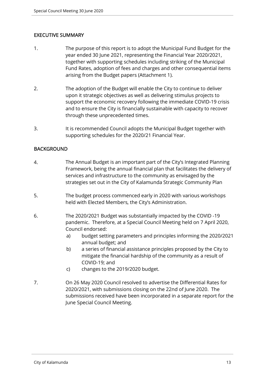## EXECUTIVE SUMMARY

- 1. The purpose of this report is to adopt the Municipal Fund Budget for the year ended 30 June 2021, representing the Financial Year 2020/2021, together with supporting schedules including striking of the Municipal Fund Rates, adoption of fees and charges and other consequential items arising from the Budget papers (Attachment 1).
- 2. The adoption of the Budget will enable the City to continue to deliver upon it strategic objectives as well as delivering stimulus projects to support the economic recovery following the immediate COVID-19 crisis and to ensure the City is financially sustainable with capacity to recover through these unprecedented times.
- 3. It is recommended Council adopts the Municipal Budget together with supporting schedules for the 2020/21 Financial Year.

## BACKGROUND

- 4. The Annual Budget is an important part of the City's Integrated Planning Framework, being the annual financial plan that facilitates the delivery of services and infrastructure to the community as envisaged by the strategies set out in the City of Kalamunda Strategic Community Plan
- 5. The budget process commenced early in 2020 with various workshops held with Elected Members, the City's Administration.
- 6. The 2020/2021 Budget was substantially impacted by the COVID -19 pandemic. Therefore, at a Special Council Meeting held on 7 April 2020, Council endorsed:
	- a) budget setting parameters and principles informing the 2020/2021 annual budget; and
	- b) a series of financial assistance principles proposed by the City to mitigate the financial hardship of the community as a result of COVID-19; and
	- c) changes to the 2019/2020 budget.
- 7. On 26 May 2020 Council resolved to advertise the Differential Rates for 2020/2021, with submissions closing on the 22nd of June 2020. The submissions received have been incorporated in a separate report for the June Special Council Meeting.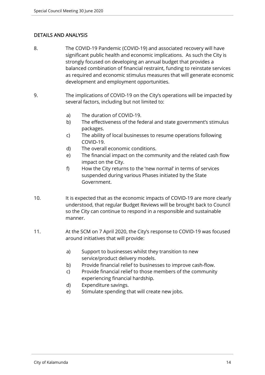## DETAILS AND ANALYSIS

- 8. The COVID-19 Pandemic (COVID-19) and associated recovery will have significant public health and economic implications. As such the City is strongly focused on developing an annual budget that provides a balanced combination of financial restraint, funding to reinstate services as required and economic stimulus measures that will generate economic development and employment opportunities.
- 9. The implications of COVID-19 on the City's operations will be impacted by several factors, including but not limited to:
	- a) The duration of COVID-19.
	- b) The effectiveness of the federal and state government's stimulus packages.
	- c) The ability of local businesses to resume operations following COVID-19.
	- d) The overall economic conditions.
	- e) The financial impact on the community and the related cash flow impact on the City.
	- f) How the City returns to the 'new normal' in terms of services suspended during various Phases initiated by the State Government.
- 10. It is expected that as the economic impacts of COVID-19 are more clearly understood, that regular Budget Reviews will be brought back to Council so the City can continue to respond in a responsible and sustainable manner.
- 11. At the SCM on 7 April 2020, the City's response to COVID-19 was focused around initiatives that will provide:
	- a) Support to businesses whilst they transition to new service/product delivery models.
	- b) Provide financial relief to businesses to improve cash-flow.
	- c) Provide financial relief to those members of the community experiencing financial hardship.
	- d) Expenditure savings.
	- e) Stimulate spending that will create new jobs.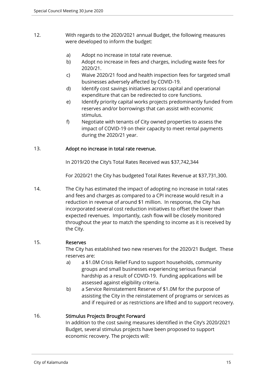- 12. With regards to the 2020/2021 annual Budget, the following measures were developed to inform the budget:
	- a) Adopt no increase in total rate revenue.
	- b) Adopt no increase in fees and charges, including waste fees for 2020/21.
	- c) Waive 2020/21 food and health inspection fees for targeted small businesses adversely affected by COVID-19.
	- d) Identify cost savings initiatives across capital and operational expenditure that can be redirected to core functions.
	- e) Identify priority capital works projects predominantly funded from reserves and/or borrowings that can assist with economic stimulus.
	- f) Negotiate with tenants of City owned properties to assess the impact of COVID-19 on their capacity to meet rental payments during the 2020/21 year.

## 13. Adopt no increase in total rate revenue.

In 2019/20 the City's Total Rates Received was \$37,742,344

For 2020/21 the City has budgeted Total Rates Revenue at \$37,731,300.

14. The City has estimated the impact of adopting no increase in total rates and fees and charges as compared to a CPI increase would result in a reduction in revenue of around \$1 million. In response, the City has incorporated several cost reduction initiatives to offset the lower than expected revenues. Importantly, cash flow will be closely monitored throughout the year to match the spending to income as it is received by the City.

## 15. Reserves

The City has established two new reserves for the 2020/21 Budget. These reserves are:

- a) a \$1.0M Crisis Relief Fund to support households, community groups and small businesses experiencing serious financial hardship as a result of COVID-19. Funding applications will be assessed against eligibility criteria.
- b) a Service Reinstatement Reserve of \$1.0M for the purpose of assisting the City in the reinstatement of programs or services as and if required or as restrictions are lifted and to support recovery.

## 16. Stimulus Projects Brought Forward

In addition to the cost saving measures identified in the City's 2020/2021 Budget, several stimulus projects have been proposed to support economic recovery. The projects will: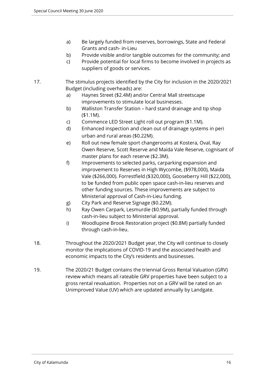- a) Be largely funded from reserves, borrowings, State and Federal Grants and cash- in-Lieu
- b) Provide visible and/or tangible outcomes for the community; and
- c) Provide potential for local firms to become involved in projects as suppliers of goods or services.
- 17. The stimulus projects identified by the City for inclusion in the 2020/2021 Budget (including overheads) are:
	- a) Haynes Street (\$2.4M) and/or Central Mall streetscape improvements to stimulate local businesses.
	- b) Walliston Transfer Station hard stand drainage and tip shop (\$1.1M).
	- c) Commence LED Street Light roll out program (\$1.1M).
	- d) Enhanced inspection and clean out of drainage systems in peri urban and rural areas (\$0.22M).
	- e) Roll out new female sport changerooms at Kostera, Oval, Ray Owen Reserve, Scott Reserve and Maida Vale Reserve, cognisant of master plans for each reserve (\$2.3M).
	- f) Improvements to selected parks, carparking expansion and improvement to Reserves in High Wycombe, (\$978,000), Maida Vale (\$266,000). Forrestfield (\$320,000), Gooseberry Hill (\$22,000), to be funded from public open space cash-in-lieu reserves and other funding sources. These improvements are subject to Ministerial approval of Cash-in-Lieu funding.
	- g) City Park and Reserve Signage (\$0.22M).
	- h) Ray Owen Carpark, Lesmurdie (\$0.9M), partially funded through cash-in-lieu subject to Ministerial approval.
	- i) Woodlupine Brook Restoration project (\$0.8M) partially funded through cash-in-lieu.
- 18. Throughout the 2020/2021 Budget year, the City will continue to closely monitor the implications of COVID-19 and the associated health and economic impacts to the City's residents and businesses.
- 19. The 2020/21 Budget contains the triennial Gross Rental Valuation (GRV) review which means all rateable GRV properties have been subject to a gross rental revaluation. Properties not on a GRV will be rated on an Unimproved Value (UV) which are updated annually by Landgate.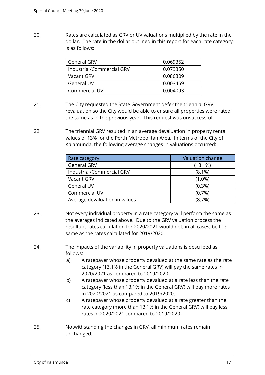20. Rates are calculated as GRV or UV valuations multiplied by the rate in the dollar. The rate in the dollar outlined in this report for each rate category is as follows:

| <b>General GRV</b>        | 0.069352 |
|---------------------------|----------|
| Industrial/Commercial GRV | 0.073350 |
| Vacant GRV                | 0.086309 |
| <b>General UV</b>         | 0.003459 |
| Commercial UV             | 0.004093 |

- 21. The City requested the State Government defer the triennial GRV revaluation so the City would be able to ensure all properties were rated the same as in the previous year. This request was unsuccessful.
- 22. The triennial GRV resulted in an average devaluation in property rental values of 13% for the Perth Metropolitan Area. In terms of the City of Kalamunda, the following average changes in valuations occurred:

| Rate category                 | Valuation change |
|-------------------------------|------------------|
| <b>General GRV</b>            | $(13.1\%)$       |
| Industrial/Commercial GRV     | $(8.1\%)$        |
| Vacant GRV                    | $(1.0\%)$        |
| General UV                    | $(0.3\%)$        |
| Commercial UV                 | (0.7%)           |
| Average devaluation in values | $(8.7\%)$        |

- 23. Not every individual property in a rate category will perform the same as the averages indicated above. Due to the GRV valuation process the resultant rates calculation for 2020/2021 would not, in all cases, be the same as the rates calculated for 2019/2020.
- 24. The impacts of the variability in property valuations is described as follows:
	- a) A ratepayer whose property devalued at the same rate as the rate category (13.1% in the General GRV) will pay the same rates in 2020/2021 as compared to 2019/2020.
	- b) A ratepayer whose property devalued at a rate less than the rate category (less than 13.1% in the General GRV) will pay more rates in 2020/2021 as compared to 2019/2020.
	- c) A ratepayer whose property devalued at a rate greater than the rate category (more than 13.1% in the General GRV) will pay less rates in 2020/2021 compared to 2019/2020
- 25. Notwithstanding the changes in GRV, all minimum rates remain unchanged.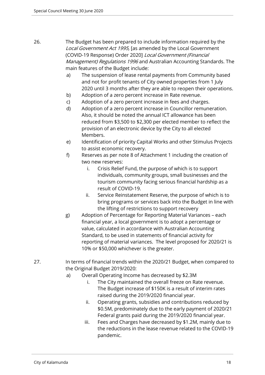- 26. The Budget has been prepared to include information required by the Local Government Act 1995, [as amended by the Local Government (COVID-19 Response) Order 2020] Local Government (Financial Management) Regulations 1996 and Australian Accounting Standards. The main features of the Budget include:
	- a) The suspension of lease rental payments from Community based and not for profit tenants of City owned properties from 1 July 2020 until 3 months after they are able to reopen their operations.
	- b) Adoption of a zero percent increase in Rate revenue.
	- c) Adoption of a zero percent increase in fees and charges.
	- d) Adoption of a zero percent increase in Councillor remuneration. Also, it should be noted the annual ICT allowance has been reduced from \$3,500 to \$2,300 per elected member to reflect the provision of an electronic device by the City to all elected Members.
	- e) Identification of priority Capital Works and other Stimulus Projects to assist economic recovery.
	- f) Reserves as per note 8 of Attachment 1 including the creation of two new reserves:
		- i. Crisis Relief Fund, the purpose of which is to support individuals, community groups, small businesses and the tourism community facing serious financial hardship as a result of COVID-19.
		- ii. Service Reinstatement Reserve, the purpose of which is to bring programs or services back into the Budget in line with the lifting of restrictions to support recovery
	- g) Adoption of Percentage for Reporting Material Variances each financial year, a local government is to adopt a percentage or value, calculated in accordance with Australian Accounting Standard, to be used in statements of financial activity for reporting of material variances. The level proposed for 2020/21 is 10% or \$50,000 whichever is the greater.
- 27. In terms of financial trends within the 2020/21 Budget, when compared to the Original Budget 2019/2020:
	- a) Overall Operating Income has decreased by \$2.3M
		- i. The City maintained the overall freeze on Rate revenue. The Budget increase of \$150K is a result of interim rates raised during the 2019/2020 financial year.
		- ii. Operating grants, subsidies and contributions reduced by \$0.5M, predominately due to the early payment of 2020/21 Federal grants paid during the 2019/2020 financial year.
		- iii. Fees and Charges have decreased by \$1.2M, mainly due to the reductions in the lease revenue related to the COVID-19 pandemic.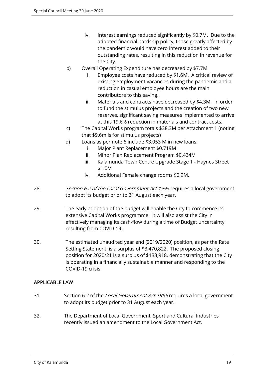- iv. Interest earnings reduced significantly by \$0.7M. Due to the adopted financial hardship policy, those greatly affected by the pandemic would have zero interest added to their outstanding rates, resulting in this reduction in revenue for the City.
- b) Overall Operating Expenditure has decreased by \$7.7M
	- Employee costs have reduced by \$1.6M. A critical review of existing employment vacancies during the pandemic and a reduction in casual employee hours are the main contributors to this saving.
	- ii. Materials and contracts have decreased by \$4.3M. In order to fund the stimulus projects and the creation of two new reserves, significant saving measures implemented to arrive at this 19.6% reduction in materials and contract costs.
- c) The Capital Works program totals \$38.3M per Attachment 1 (noting that \$9.6m is for stimulus projects)
- d) Loans as per note 6 include \$3.053 M in new loans:
	- i. Major Plant Replacement \$0.719M
	- ii. Minor Plan Replacement Program \$0.434M
	- iii. Kalamunda Town Centre Upgrade Stage 1 Haynes Street \$1.0M
	- iv. Additional Female change rooms \$0.9M.
- 28. Section 6.2 of the Local Government Act 1995 requires a local government to adopt its budget prior to 31 August each year.
- 29. The early adoption of the budget will enable the City to commence its extensive Capital Works programme. It will also assist the City in effectively managing its cash-flow during a time of Budget uncertainty resulting from COVID-19.
- 30. The estimated unaudited year end (2019/2020) position, as per the Rate Setting Statement, is a surplus of \$3,470,822. The proposed closing position for 2020/21 is a surplus of \$133,918, demonstrating that the City is operating in a financially sustainable manner and responding to the COVID-19 crisis.

## APPLICABLE LAW

- 31. Section 6.2 of the Local Government Act 1995 requires a local government to adopt its budget prior to 31 August each year.
- 32. The Department of Local Government, Sport and Cultural Industries recently issued an amendment to the Local Government Act.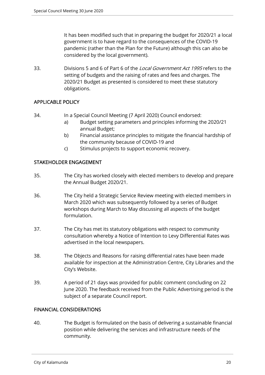It has been modified such that in preparing the budget for 2020/21 a local government is to have regard to the consequences of the COVID-19 pandemic (rather than the Plan for the Future) although this can also be considered by the local government).

33. Divisions 5 and 6 of Part 6 of the *Local Government Act 1995* refers to the setting of budgets and the raising of rates and fees and charges. The 2020/21 Budget as presented is considered to meet these statutory obligations.

## APPLICABLE POLICY

- 34. In a Special Council Meeting (7 April 2020) Council endorsed:
	- a) Budget setting parameters and principles informing the 2020/21 annual Budget;
	- b) Financial assistance principles to mitigate the financial hardship of the community because of COVID-19 and
	- c) Stimulus projects to support economic recovery.

## STAKEHOLDER ENGAGEMENT

- 35. The City has worked closely with elected members to develop and prepare the Annual Budget 2020/21.
- 36. The City held a Strategic Service Review meeting with elected members in March 2020 which was subsequently followed by a series of Budget workshops during March to May discussing all aspects of the budget formulation.
- 37. The City has met its statutory obligations with respect to community consultation whereby a Notice of Intention to Levy Differential Rates was advertised in the local newspapers.
- 38. The Objects and Reasons for raising differential rates have been made available for inspection at the Administration Centre, City Libraries and the City's Website.
- 39. A period of 21 days was provided for public comment concluding on 22 June 2020. The feedback received from the Public Advertising period is the subject of a separate Council report.

## FINANCIAL CONSIDERATIONS

40. The Budget is formulated on the basis of delivering a sustainable financial position while delivering the services and infrastructure needs of the community.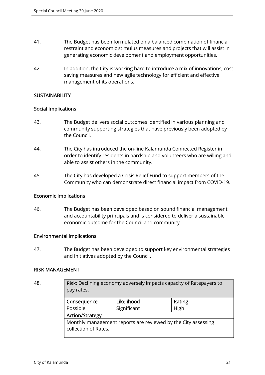- 41. The Budget has been formulated on a balanced combination of financial restraint and economic stimulus measures and projects that will assist in generating economic development and employment opportunities.
- 42. In addition, the City is working hard to introduce a mix of innovations, cost saving measures and new agile technology for efficient and effective management of its operations.

## **SUSTAINABILITY**

## Social Implications

- 43. The Budget delivers social outcomes identified in various planning and community supporting strategies that have previously been adopted by the Council.
- 44. The City has introduced the on-line Kalamunda Connected Register in order to identify residents in hardship and volunteers who are willing and able to assist others in the community.
- 45. The City has developed a Crisis Relief Fund to support members of the Community who can demonstrate direct financial impact from COVID-19.

## Economic Implications

46. The Budget has been developed based on sound financial management and accountability principals and is considered to deliver a sustainable economic outcome for the Council and community.

## Environmental Implications

47. The Budget has been developed to support key environmental strategies and initiatives adopted by the Council.

#### RISK MANAGEMENT

| ٠<br>I<br>×<br>۰.<br>I |  |
|------------------------|--|
|------------------------|--|

Risk: Declining economy adversely impacts capacity of Ratepayers to pay rates.

| Consequence                                                                           | Likelihood | Rating |  |
|---------------------------------------------------------------------------------------|------------|--------|--|
| Possible<br>Significant                                                               |            | High   |  |
| <b>Action/Strategy</b>                                                                |            |        |  |
| Monthly management reports are reviewed by the City assessing<br>collection of Rates. |            |        |  |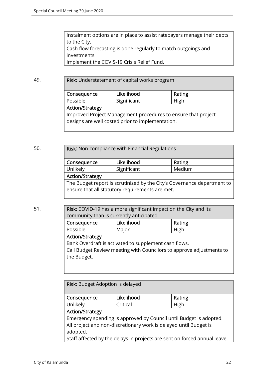Instalment options are in place to assist ratepayers manage their debts to the City. Cash flow forecasting is done regularly to match outgoings and investments Implement the COVIS-19 Crisis Relief Fund.

49. **Risk:** Understatement of capital works program

| Consequence                                                                                                       | Likelihood | Rating |  |
|-------------------------------------------------------------------------------------------------------------------|------------|--------|--|
| Significant<br>Possible                                                                                           |            | High   |  |
| <b>Action/Strategy</b>                                                                                            |            |        |  |
| Improved Project Management procedures to ensure that project<br>designs are well costed prior to implementation. |            |        |  |

50. **Risk:** Non-compliance with Financial Regulations

| Consequence                                                                                                                | Likelihood  | Rating |  |
|----------------------------------------------------------------------------------------------------------------------------|-------------|--------|--|
| Unlikely                                                                                                                   | Significant | Medium |  |
| <b>Action/Strategy</b>                                                                                                     |             |        |  |
| The Budget report is scrutinized by the City's Governance department to<br>ensure that all statutory requirements are met. |             |        |  |

51. Risk: COVID-19 has a more significant impact on the City and its community than is currently anticipated.

| Consequence            | Likelihood                                            | Rating                                                               |  |
|------------------------|-------------------------------------------------------|----------------------------------------------------------------------|--|
| Possible               | Major                                                 | High                                                                 |  |
| <b>Action/Strategy</b> |                                                       |                                                                      |  |
| the Budget.            | Bank Overdraft is activated to supplement cash flows. | Call Budget Review meeting with Councilors to approve adjustments to |  |

Risk: Budget Adoption is delayed

| Consequence                                                                                                                                                                                                                      | Likelihood | Rating |  |
|----------------------------------------------------------------------------------------------------------------------------------------------------------------------------------------------------------------------------------|------------|--------|--|
| Unlikely                                                                                                                                                                                                                         | Critical   | High   |  |
| <b>Action/Strategy</b>                                                                                                                                                                                                           |            |        |  |
| Emergency spending is approved by Council until Budget is adopted.<br>All project and non-discretionary work is delayed until Budget is<br>adopted.<br>Staff affected by the delays in projects are sent on forced annual leave. |            |        |  |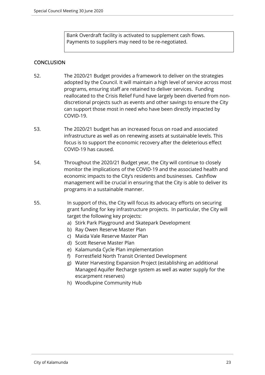Bank Overdraft facility is activated to supplement cash flows. Payments to suppliers may need to be re-negotiated.

## **CONCLUSION**

- 52. The 2020/21 Budget provides a framework to deliver on the strategies adopted by the Council. It will maintain a high level of service across most programs, ensuring staff are retained to deliver services. Funding reallocated to the Crisis Relief Fund have largely been diverted from nondiscretional projects such as events and other savings to ensure the City can support those most in need who have been directly impacted by COVID-19.
- 53. The 2020/21 budget has an increased focus on road and associated infrastructure as well as on renewing assets at sustainable levels. This focus is to support the economic recovery after the deleterious effect COVID-19 has caused.
- 54. Throughout the 2020/21 Budget year, the City will continue to closely monitor the implications of the COVID-19 and the associated health and economic impacts to the City's residents and businesses. Cashflow management will be crucial in ensuring that the City is able to deliver its programs in a sustainable manner.
- 55. In support of this, the City will focus its advocacy efforts on securing grant funding for key infrastructure projects. In particular, the City will target the following key projects:
	- a) Stirk Park Playground and Skatepark Development
	- b) Ray Owen Reserve Master Plan
	- c) Maida Vale Reserve Master Plan
	- d) Scott Reserve Master Plan
	- e) Kalamunda Cycle Plan implementation
	- f) Forrestfield North Transit Oriented Development
	- g) Water Harvesting Expansion Project (establishing an additional Managed Aquifer Recharge system as well as water supply for the escarpment reserves)
	- h) Woodlupine Community Hub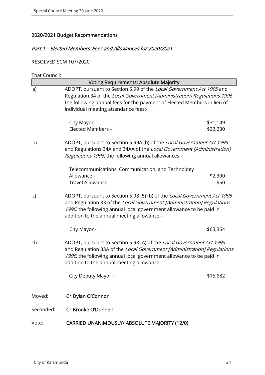# 2020/2021 Budget Recommendations

## Part 1 – Elected Members' Fees and Allowances for 2020/2021

# RESOLVED SCM 107/2020

| That Council: |  |
|---------------|--|

|           | <b>Voting Requirements: Absolute Majority</b>                                                                                                                                                                                                                           |                      |
|-----------|-------------------------------------------------------------------------------------------------------------------------------------------------------------------------------------------------------------------------------------------------------------------------|----------------------|
| a)        | ADOPT, pursuant to Section 5.99 of the Local Government Act 1995 and<br>Regulation 34 of the Local Government (Administration) Regulations 1996<br>the following annual fees for the payment of Elected Members in lieu of<br>individual meeting attendance fees:-      |                      |
|           | City Mayor -<br><b>Elected Members -</b>                                                                                                                                                                                                                                | \$31,149<br>\$23,230 |
| b)        | ADOPT, pursuant to Section 5.99A (b) of the Local Government Act 1995<br>and Regulations 34A and 34AA of the Local Government [Administration]<br>Regulations 1996, the following annual allowances:-                                                                   |                      |
|           | Telecommunications, Communication, and Technology<br>Allowance -<br>Travel Allowance -                                                                                                                                                                                  | \$2,300<br>\$50      |
| C)        | ADOPT, pursuant to Section 5.98 (5) (b) of the Local Government Act 1995<br>and Regulation 33 of the Local Government [Administration] Regulations<br>1996, the following annual local government allowance to be paid in<br>addition to the annual meeting allowance:- |                      |
|           | City Mayor -                                                                                                                                                                                                                                                            | \$63,354             |
| d)        | ADOPT, pursuant to Section 5.98 (A) of the Local Government Act 1995<br>and Regulation 33A of the Local Government [Administration] Regulations<br>1996, the following annual local government allowance to be paid in<br>addition to the annual meeting allowance: -   |                      |
|           | City Deputy Mayor -                                                                                                                                                                                                                                                     | \$15,682             |
| Moved:    | Cr Dylan O'Connor                                                                                                                                                                                                                                                       |                      |
| Seconded: | Cr Brooke O'Donnell                                                                                                                                                                                                                                                     |                      |
| Vote:     | CARRIED UNANIMOUSLY/ ABSOLUTE MAJORITY (12/0)                                                                                                                                                                                                                           |                      |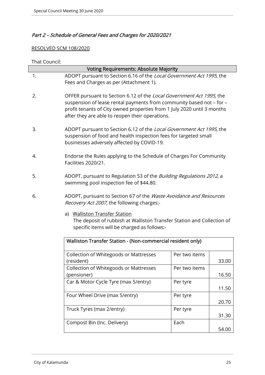# Part 2 – Schedule of General Fees and Charges for 2020/2021

## RESOLVED SCM 108/2020

| That Council: |                                                                                                                                                                                                                                                                            |                                                                                                                                          |       |  |
|---------------|----------------------------------------------------------------------------------------------------------------------------------------------------------------------------------------------------------------------------------------------------------------------------|------------------------------------------------------------------------------------------------------------------------------------------|-------|--|
|               | <b>Voting Requirements: Absolute Majority</b>                                                                                                                                                                                                                              |                                                                                                                                          |       |  |
| 1.            | ADOPT pursuant to Section 6.16 of the Local Government Act 1995, the                                                                                                                                                                                                       |                                                                                                                                          |       |  |
|               | Fees and Charges as per (Attachment 1).                                                                                                                                                                                                                                    |                                                                                                                                          |       |  |
| 2.            | OFFER pursuant to Section 6.12 of the Local Government Act 1995, the<br>suspension of lease rental payments from community based not - for -<br>profit tenants of City owned properties from 1 July 2020 until 3 months<br>after they are able to reopen their operations. |                                                                                                                                          |       |  |
| 3.            | businesses adversely affected by COVID-19.                                                                                                                                                                                                                                 | ADOPT pursuant to Section 6.12 of the Local Government Act 1995, the<br>suspension of food and health inspection fees for targeted small |       |  |
| 4.            | Facilities 2020/21.                                                                                                                                                                                                                                                        | Endorse the Rules applying to the Schedule of Charges For Community                                                                      |       |  |
| 5.            | ADOPT, pursuant to Regulation 53 of the <i>Building Regulations 2012</i> , a<br>swimming pool inspection fee of \$44.80.                                                                                                                                                   |                                                                                                                                          |       |  |
| 6.            | Recovery Act 2007, the following charges:-                                                                                                                                                                                                                                 | ADOPT, pursuant to Section 67 of the Waste Avoidance and Resources                                                                       |       |  |
|               | a) Walliston Transfer Station<br>The deposit of rubbish at Walliston Transfer Station and Collection of<br>specific items will be charged as follows:-                                                                                                                     |                                                                                                                                          |       |  |
|               | Walliston Transfer Station - (Non-commercial resident only)                                                                                                                                                                                                                |                                                                                                                                          |       |  |
|               | Collection of Whitegoods or Mattresses<br>(resident)                                                                                                                                                                                                                       | Per two items                                                                                                                            | 33.00 |  |
|               | <b>Collection of Whitegoods or Mattresses</b><br>(pensioner)                                                                                                                                                                                                               | Per two items                                                                                                                            | 16.50 |  |
|               | Car & Motor Cycle Tyre (max 5/entry)                                                                                                                                                                                                                                       | Per tyre                                                                                                                                 | 11.50 |  |
|               | Four Wheel Drive (max 5/entry)                                                                                                                                                                                                                                             | Per tyre                                                                                                                                 | 20.70 |  |
|               | Truck Tyres (max 2/entry)                                                                                                                                                                                                                                                  | Per tyre                                                                                                                                 | 31.30 |  |
|               | Compost Bin (Inc. Delivery)                                                                                                                                                                                                                                                | Each                                                                                                                                     | 54.00 |  |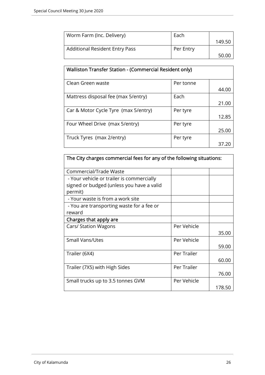| Worm Farm (Inc. Delivery)             | Each      |        |
|---------------------------------------|-----------|--------|
|                                       |           | 149.50 |
| <b>Additional Resident Entry Pass</b> | Per Entry |        |
|                                       |           | 50.00  |

| Walliston Transfer Station - (Commercial Resident only) |           |       |  |
|---------------------------------------------------------|-----------|-------|--|
| Clean Green waste                                       | Per tonne |       |  |
|                                                         |           | 44.00 |  |
| Mattress disposal fee (max 5/entry)                     | Each      |       |  |
|                                                         |           | 21.00 |  |
| Car & Motor Cycle Tyre (max 5/entry)                    | Per tyre  |       |  |
|                                                         |           | 12.85 |  |
| Four Wheel Drive (max 5/entry)                          | Per tyre  |       |  |
|                                                         |           | 25.00 |  |
| Truck Tyres (max 2/entry)                               | Per tyre  |       |  |
|                                                         |           | 37.20 |  |

| The City charges commercial fees for any of the following situations: |             |        |
|-----------------------------------------------------------------------|-------------|--------|
| Commercial/Trade Waste                                                |             |        |
| - Your vehicle or trailer is commercially                             |             |        |
| signed or budged (unless you have a valid                             |             |        |
| permit)                                                               |             |        |
| - Your waste is from a work site                                      |             |        |
| - You are transporting waste for a fee or                             |             |        |
| reward                                                                |             |        |
| Charges that apply are                                                |             |        |
| Cars/ Station Wagons                                                  | Per Vehicle |        |
|                                                                       |             | 35.00  |
| <b>Small Vans/Utes</b>                                                | Per Vehicle |        |
|                                                                       |             | 59.00  |
| Trailer (6X4)                                                         | Per Trailer |        |
|                                                                       |             | 60.00  |
| Trailer (7X5) with High Sides                                         | Per Trailer |        |
|                                                                       |             | 76.00  |
| Small trucks up to 3.5 tonnes GVM                                     | Per Vehicle |        |
|                                                                       |             | 178.50 |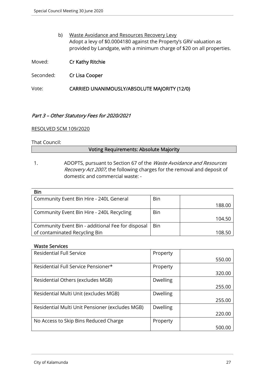b) Waste Avoidance and Resources Recovery Levy Adopt a levy of \$0.0004180 against the Property's GRV valuation as provided by Landgate, with a minimum charge of \$20 on all properties.

Moved: Cr Kathy Ritchie

Seconded: Cr Lisa Cooper

Vote: CARRIED UNANIMOUSLY/ABSOLUTE MAJORITY (12/0)

## Part 3 – Other Statutory Fees for 2020/2021

#### RESOLVED SCM 109/2020

#### That Council:

#### Voting Requirements: Absolute Majority

1. ADOPTS, pursuant to Section 67 of the Waste Avoidance and Resources Recovery Act 2007, the following charges for the removal and deposit of domestic and commercial waste: -

| Bin |        |
|-----|--------|
|     | 188.00 |
| Bin |        |
|     | 104.50 |
| Bin |        |
|     | 108.50 |
|     |        |

#### Waste Services

| <b>Residential Full Service</b>                 | Property        |        |
|-------------------------------------------------|-----------------|--------|
|                                                 |                 | 550.00 |
| Residential Full Service Pensioner*             | Property        |        |
|                                                 |                 | 320.00 |
| Residential Others (excludes MGB)               | <b>Dwelling</b> |        |
|                                                 |                 | 255.00 |
| Residential Multi Unit (excludes MGB)           | <b>Dwelling</b> |        |
|                                                 |                 | 255.00 |
| Residential Multi Unit Pensioner (excludes MGB) | <b>Dwelling</b> |        |
|                                                 |                 | 220.00 |
| No Access to Skip Bins Reduced Charge           | Property        |        |
|                                                 |                 | 500.00 |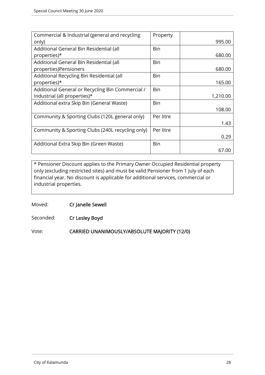| Commercial & Industrial (general and recycling   | Property  |          |
|--------------------------------------------------|-----------|----------|
| only)                                            |           | 995.00   |
| Additional General Bin Residential (all          | Bin       |          |
| properties)*                                     |           | 680.00   |
| Additional General Bin Residential (all          | Bin       |          |
| properties)Pensioners                            |           | 680.00   |
| Additional Recycling Bin Residential (all        | Bin       |          |
| properties)*                                     |           | 165.00   |
| Additional General or Recycling Bin Commercial / | Bin       |          |
| Industrial (all properties)*                     |           | 1,210.00 |
| Additional extra Skip Bin (General Waste)        | Bin       |          |
|                                                  |           | 108.00   |
| Community & Sporting Clubs (120L general only)   | Per litre |          |
|                                                  |           | 1.43     |
| Community & Sporting Clubs (240L recycling only) | Per litre |          |
|                                                  |           | 0.29     |
| Additional Extra Skip Bin (Green Waste)          | Bin       |          |
|                                                  |           | 67.00    |

\* Pensioner Discount applies to the Primary Owner Occupied Residential property only (excluding restricted sites) and must be valid Pensioner from 1 July of each financial year. No discount is applicable for additional services, commercial or industrial properties.

Moved: Cr Janelle Sewell

Seconded: Cr Lesley Boyd

Vote: CARRIED UNANIMOUSLY/ABSOLUTE MAJORITY (12/0)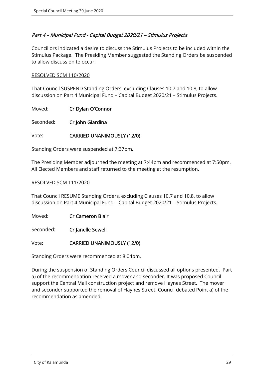## Part 4 – Municipal Fund - Capital Budget 2020/21 – Stimulus Projects

Councillors indicated a desire to discuss the Stimulus Projects to be included within the Stimulus Package. The Presiding Member suggested the Standing Orders be suspended to allow discussion to occur.

## RESOLVED SCM 110/2020

That Council SUSPEND Standing Orders, excluding Clauses 10.7 and 10.8, to allow discussion on Part 4 Municipal Fund – Capital Budget 2020/21 – Stimulus Projects.

Moved: Cr Dylan O'Connor

Seconded: Cr John Giardina

## Vote: CARRIED UNANIMOUSLY (12/0)

Standing Orders were suspended at 7:37pm.

The Presiding Member adjourned the meeting at 7:44pm and recommenced at 7:50pm. All Elected Members and staff returned to the meeting at the resumption.

#### RESOLVED SCM 111/2020

That Council RESUME Standing Orders, excluding Clauses 10.7 and 10.8, to allow discussion on Part 4 Municipal Fund – Capital Budget 2020/21 – Stimulus Projects.

Moved: Cr Cameron Blair

Seconded: Cr Janelle Sewell

Vote: CARRIED UNANIMOUSLY (12/0)

Standing Orders were recommenced at 8:04pm.

During the suspension of Standing Orders Council discussed all options presented. Part a) of the recommendation received a mover and seconder. It was proposed Council support the Central Mall construction project and remove Haynes Street. The mover and seconder supported the removal of Haynes Street. Council debated Point a) of the recommendation as amended.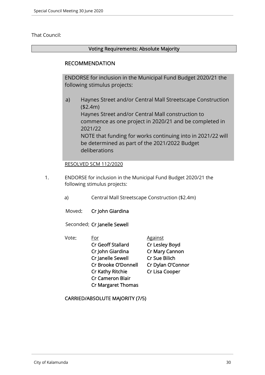## That Council:

## Voting Requirements: Absolute Majority

## RECOMMENDATION

ENDORSE for inclusion in the Municipal Fund Budget 2020/21 the following stimulus projects:

a) Haynes Street and/or Central Mall Streetscape Construction (\$2.4m) Haynes Street and/or Central Mall construction to commence as one project in 2020/21 and be completed in 2021/22 NOTE that funding for works continuing into in 2021/22 will be determined as part of the 2021/2022 Budget deliberations

## RESOLVED SCM 112/2020

- 1. ENDORSE for inclusion in the Municipal Fund Budget 2020/21 the following stimulus projects:
	- a) Central Mall Streetscape Construction (\$2.4m)
	- Moved: Cr John Giardina

Seconded: Cr Janelle Sewell

Vote: For Against Cr Geoff Stallard Cr Lesley Boyd Cr John Giardina Cr Mary Cannon Cr Janelle Sewell Cr Sue Bilich Cr Brooke O'Donnell Cr Dylan O'Connor Cr Kathy Ritchie Cr Lisa Cooper Cr Cameron Blair Cr Margaret Thomas

CARRIED/ABSOLUTE MAJORITY (7/5)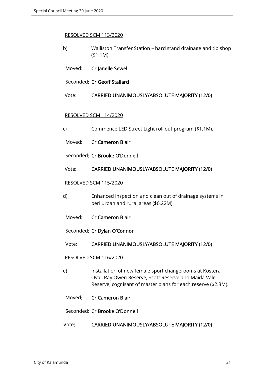#### RESOLVED SCM 113/2020

- b) Walliston Transfer Station hard stand drainage and tip shop (\$1.1M).
- Moved: Cr Janelle Sewell

Seconded: Cr Geoff Stallard

Vote: CARRIED UNANIMOUSLY/ABSOLUTE MAJORITY (12/0)

#### RESOLVED SCM 114/2020

- c) Commence LED Street Light roll out program (\$1.1M).
- Moved: Cr Cameron Blair
- Seconded: Cr Brooke O'Donnell

#### Vote: CARRIED UNANIMOUSLY/ABSOLUTE MAJORITY (12/0)

#### RESOLVED SCM 115/2020

- d) Enhanced inspection and clean out of drainage systems in peri urban and rural areas (\$0.22M).
- Moved: Cr Cameron Blair

Seconded: Cr Dylan O'Connor

#### Vote: CARRIED UNANIMOUSLY/ABSOLUTE MAJORITY (12/0)

#### RESOLVED SCM 116/2020

- e) Installation of new female sport changerooms at Kostera, Oval, Ray Owen Reserve, Scott Reserve and Maida Vale Reserve, cognisant of master plans for each reserve (\$2.3M).
- Moved: Cr Cameron Blair

#### Seconded: Cr Brooke O'Donnell

Vote: CARRIED UNANIMOUSLY/ABSOLUTE MAJORITY (12/0)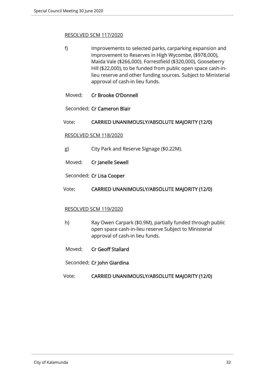#### RESOLVED SCM 117/2020

- f) Improvements to selected parks, carparking expansion and improvement to Reserves in High Wycombe, (\$978,000), Maida Vale (\$266,000). Forrestfield (\$320,000), Gooseberry Hill (\$22,000), to be funded from public open space cash-inlieu reserve and other funding sources. Subject to Ministerial approval of cash-in lieu funds.
- Moved: Cr Brooke O'Donnell
- Seconded: Cr Cameron Blair
- Vote: CARRIED UNANIMOUSLY/ABSOLUTE MAJORITY (12/0)

#### RESOLVED SCM 118/2020

- g) City Park and Reserve Signage (\$0.22M).
- Moved: Cr Janelle Sewell

Seconded: Cr Lisa Cooper

Vote: CARRIED UNANIMOUSLY/ABSOLUTE MAJORITY (12/0)

## RESOLVED SCM 119/2020

- h) Ray Owen Carpark (\$0.9M), partially funded through public open space cash-in-lieu reserve Subject to Ministerial approval of cash-in lieu funds.
- Moved: Cr Geoff Stallard
- Seconded: Cr John Giardina
- Vote: CARRIED UNANIMOUSLY/ABSOLUTE MAJORITY (12/0)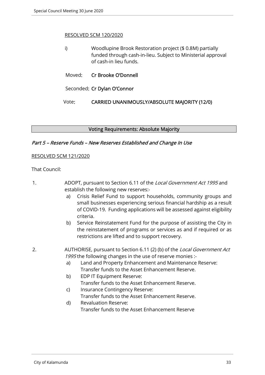#### RESOLVED SCM 120/2020

|  | Woodlupine Brook Restoration project (\$0.8M) partially<br>funded through cash-in-lieu. Subject to Ministerial approval<br>of cash-in lieu funds. |  |  |
|--|---------------------------------------------------------------------------------------------------------------------------------------------------|--|--|
|  | Moved: Cr Brooke O'Donnell                                                                                                                        |  |  |
|  | Seconded: Cr Dylan O'Connor                                                                                                                       |  |  |

Vote: CARRIED UNANIMOUSLY/ABSOLUTE MAJORITY (12/0)

#### Voting Requirements: Absolute Majority

#### Part 5 – Reserve Funds – New Reserves Established and Change In Use

#### RESOLVED SCM 121/2020

#### That Council:

- 1. ADOPT, pursuant to Section 6.11 of the Local Government Act 1995 and establish the following new reserves:
	- a) Crisis Relief Fund to support households, community groups and small businesses experiencing serious financial hardship as a result of COVID-19. Funding applications will be assessed against eligibility criteria.
	- b) Service Reinstatement Fund for the purpose of assisting the City in the reinstatement of programs or services as and if required or as restrictions are lifted and to support recovery.
- 2. AUTHORISE, pursuant to Section 6.11 (2) (b) of the Local Government Act 1995 the following changes in the use of reserve monies :
	- a) Land and Property Enhancement and Maintenance Reserve: Transfer funds to the Asset Enhancement Reserve.
	- b) EDP IT Equipment Reserve: Transfer funds to the Asset Enhancement Reserve.
	- c) Insurance Contingency Reserve: Transfer funds to the Asset Enhancement Reserve.
	- d) Revaluation Reserve: Transfer funds to the Asset Enhancement Reserve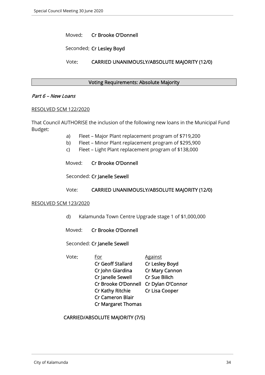Moved: Cr Brooke O'Donnell

Seconded: Cr Lesley Boyd

Vote: CARRIED UNANIMOUSLY/ABSOLUTE MAJORITY (12/0)

#### Voting Requirements: Absolute Majority

#### Part 6 – New Loans

#### RESOLVED SCM 122/2020

That Council AUTHORISE the inclusion of the following new loans in the Municipal Fund Budget:

- a) Fleet Major Plant replacement program of \$719,200
- b) Fleet Minor Plant replacement program of \$295,900
- c) Fleet Light Plant replacement program of \$138,000
- Moved: Cr Brooke O'Donnell

Seconded: Cr Janelle Sewell

#### Vote: CARRIED UNANIMOUSLY/ABSOLUTE MAJORITY (12/0)

#### RESOLVED SCM 123/2020

- d) Kalamunda Town Centre Upgrade stage 1 of \$1,000,000
- Moved: Cr Brooke O'Donnell
- Seconded: Cr Janelle Sewell

Vote: For Against Cr Geoff Stallard Cr Lesley Boyd Cr John Giardina Cr Mary Cannon Cr Janelle Sewell Cr Sue Bilich Cr Brooke O'Donnell Cr Dylan O'Connor Cr Kathy Ritchie Cr Lisa Cooper Cr Cameron Blair Cr Margaret Thomas

CARRIED/ABSOLUTE MAJORITY (7/5)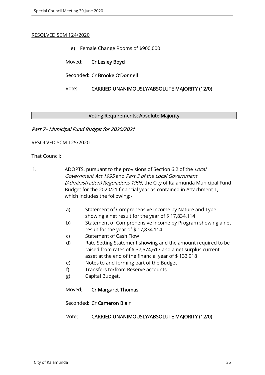#### RESOLVED SCM 124/2020

- e) Female Change Rooms of \$900,000
- Moved: Cr Lesley Boyd
- Seconded: Cr Brooke O'Donnell

#### Vote: CARRIED UNANIMOUSLY/ABSOLUTE MAJORITY (12/0)

#### Voting Requirements: Absolute Majority

## Part 7– Municipal Fund Budget for 2020/2021

#### RESOLVED SCM 125/2020

#### That Council:

- 1. ADOPTS, pursuant to the provisions of Section 6.2 of the Local Government Act 1995 and Part 3 of the Local Government (Administration) Regulations 1996, the City of Kalamunda Municipal Fund Budget for the 2020/21 financial year as contained in Attachment 1, which includes the following:
	- a) Statement of Comprehensive Income by Nature and Type showing a net result for the year of \$ 17,834,114
	- b) Statement of Comprehensive Income by Program showing a net result for the year of \$ 17,834,114
	- c) Statement of Cash Flow
	- d) Rate Setting Statement showing and the amount required to be raised from rates of \$ 37,574,617 and a net surplus current asset at the end of the financial year of \$ 133,918
	- e) Notes to and forming part of the Budget
	- f) Transfers to/from Reserve accounts
	- g) Capital Budget.

Moved: Cr Margaret Thomas

Seconded: Cr Cameron Blair

#### Vote: CARRIED UNANIMOUSLY/ABSOLUTE MAJORITY (12/0)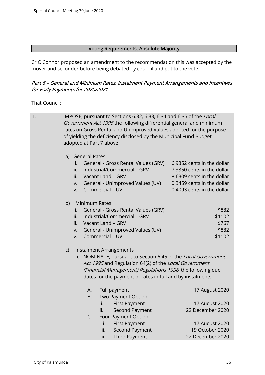## Voting Requirements: Absolute Majority

Cr O'Connor proposed an amendment to the recommendation this was accepted by the mover and seconder before being debated by council and put to the vote.

## Part 8 – General and Minimum Rates, Instalment Payment Arrangements and Incentives for Early Payments for 2020/2021

That Council:

| 1. | IMPOSE, pursuant to Sections 6.32, 6.33, 6.34 and 6.35 of the Local<br>Government Act 1995 the following differential general and minimum<br>rates on Gross Rental and Unimproved Values adopted for the purpose<br>of yielding the deficiency disclosed by the Municipal Fund Budget<br>adopted at Part 7 above. |                                                                                                                                                    |  |  |  |  |
|----|-------------------------------------------------------------------------------------------------------------------------------------------------------------------------------------------------------------------------------------------------------------------------------------------------------------------|----------------------------------------------------------------------------------------------------------------------------------------------------|--|--|--|--|
|    | a) General Rates<br>General - Gross Rental Values (GRV)<br>i.<br>Industrial/Commercial - GRV<br>ii.<br>Vacant Land - GRV<br>iii.<br>General - Unimproved Values (UV)<br>iv.<br>Commercial - UV<br>V.                                                                                                              | 6.9352 cents in the dollar<br>7.3350 cents in the dollar<br>8.6309 cents in the dollar<br>0.3459 cents in the dollar<br>0.4093 cents in the dollar |  |  |  |  |
|    | Minimum Rates<br>b)<br>General - Gross Rental Values (GRV)<br>i.<br>Industrial/Commercial - GRV<br>ii.<br>Vacant Land - GRV<br>iii.<br>General - Unimproved Values (UV)<br>iv.<br>Commercial - UV<br>V.                                                                                                           | \$882<br>\$1102<br>\$767<br>\$882<br>\$1102                                                                                                        |  |  |  |  |
|    | Instalment Arrangements<br>$\mathsf{C}$<br>NOMINATE, pursuant to Section 6.45 of the Local Government<br>İ.<br>Act 1995 and Regulation 64(2) of the Local Government<br>(Financial Management) Regulations 1996, the following due<br>dates for the payment of rates in full and by instalments:-                 |                                                                                                                                                    |  |  |  |  |
|    | А.<br>Full payment<br>Two Payment Option<br><b>B.</b><br><b>First Payment</b><br>İ.<br>Second Payment<br>ii.<br>Four Payment Option<br>C.                                                                                                                                                                         | 17 August 2020<br>17 August 2020<br>22 December 2020                                                                                               |  |  |  |  |
|    | <b>First Payment</b><br>i.<br>ii.<br>Second Payment<br>iii.<br>Third Payment                                                                                                                                                                                                                                      | 17 August 2020<br>19 October 2020<br>22 December 2020                                                                                              |  |  |  |  |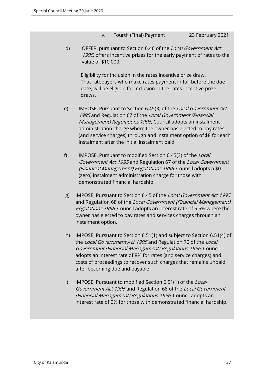iv. Fourth (Final) Payment 23 February 2021

d) OFFER, pursuant to Section 6.46 of the Local Government Act 1995, offers incentive prizes for the early payment of rates to the value of \$10,000.

Eligibility for inclusion in the rates incentive prize draw. That ratepayers who make rates payment in full before the due date, will be eligible for inclusion in the rates incentive prize draws.

- e) IMPOSE, Pursuant to Section 6.45(3) of the Local Government Act 1995 and Regulation 67 of the Local Government (Financial Management) Regulations 1996, Council adopts an instalment administration charge where the owner has elected to pay rates (and service charges) through and instalment option of \$8 for each instalment after the initial instalment paid.
- f) IMPOSE, Pursuant to modified Section 6.45(3) of the Local Government Act 1995 and Regulation 67 of the Local Government (Financial Management) Regulations 1996, Council adopts a \$0 (zero) instalment administration charge for those with demonstrated financial hardship.
- g) IMPOSE, Pursuant to Section 6.45 of the Local Government Act 1995 and Regulation 68 of the Local Government (Financial Management) Regulations 1996, Council adopts an interest rate of 5.5% where the owner has elected to pay rates and services charges through an instalment option.
- h) IMPOSE, Pursuant to Section 6.51(1) and subject to Section 6.51(4) of the Local Government Act 1995 and Regulation 70 of the Local Government (Financial Management) Regulations 1996, Council adopts an interest rate of 8% for rates (and service charges) and costs of proceedings to recover such charges that remains unpaid after becoming due and payable.
- i) IMPOSE, Pursuant to modified Section 6.51(1) of the Local Government Act 1995 and Regulation 68 of the Local Government (Financial Management) Regulations 1996, Council adopts an interest rate of 0% for those with demonstrated financial hardship.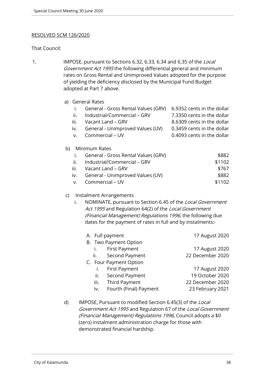#### RESOLVED SCM 126/2020

#### That Council:

1. IMPOSE, pursuant to Sections 6.32, 6.33, 6.34 and 6.35 of the Local Government Act 1995 the following differential general and minimum rates on Gross Rental and Unimproved Values adopted for the purpose of yielding the deficiency disclosed by the Municipal Fund Budget adopted at Part 7 above.

|    |      | a) General Rates                    |                            |
|----|------|-------------------------------------|----------------------------|
|    |      | General - Gross Rental Values (GRV) | 6.9352 cents in the dollar |
|    | ii.  | Industrial/Commercial - GRV         | 7.3350 cents in the dollar |
|    | iii. | Vacant Land - GRV                   | 8.6309 cents in the dollar |
|    | iv.  | General - Unimproved Values (UV)    | 0.3459 cents in the dollar |
|    | v.   | Commercial - UV                     | 0.4093 cents in the dollar |
|    |      |                                     |                            |
| b) |      | Minimum Rates                       |                            |
|    | I.   | General - Gross Rental Values (GRV) | \$882                      |
|    | ii.  | Industrial/Commercial - GRV         | \$1102                     |
|    | iii. | Vacant Land – GRV                   | \$767                      |
|    | iv.  | General - Unimproved Values (UV)    | \$882                      |
|    | v.   | Commercial – UV                     | \$1102                     |

#### c) Instalment Arrangements

i. NOMINATE, pursuant to Section 6.45 of the Local Government Act 1995 and Regulation 64(2) of the Local Government (Financial Management) Regulations 1996, the following due dates for the payment of rates in full and by instalments:-

| A. Full payment               | 17 August 2020   |
|-------------------------------|------------------|
| B. Two Payment Option         |                  |
| First Payment                 | 17 August 2020   |
| Second Payment<br>ii.         | 22 December 2020 |
| C. Four Payment Option        |                  |
| First Payment<br>i.           | 17 August 2020   |
| Second Payment<br>ii.         | 19 October 2020  |
| iii. Third Payment            | 22 December 2020 |
| Fourth (Final) Payment<br>iv. | 23 February 2021 |
|                               |                  |

d) IMPOSE, Pursuant to modified Section 6.45(3) of the Local Government Act 1995 and Regulation 67 of the Local Government (Financial Management) Regulations 1996, Council adopts a \$0 (zero) instalment administration charge for those with demonstrated financial hardship.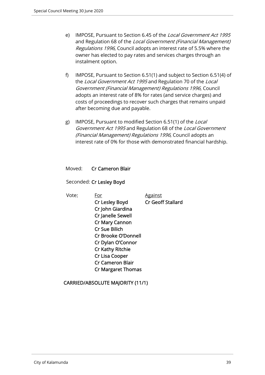- e) IMPOSE, Pursuant to Section 6.45 of the Local Government Act 1995 and Regulation 68 of the Local Government (Financial Management) Regulations 1996, Council adopts an interest rate of 5.5% where the owner has elected to pay rates and services charges through an instalment option.
- f) IMPOSE, Pursuant to Section 6.51(1) and subject to Section 6.51(4) of the Local Government Act 1995 and Regulation 70 of the Local Government (Financial Management) Regulations 1996, Council adopts an interest rate of 8% for rates (and service charges) and costs of proceedings to recover such charges that remains unpaid after becoming due and payable.
- g) IMPOSE, Pursuant to modified Section 6.51(1) of the Local Government Act 1995 and Regulation 68 of the Local Government (Financial Management) Regulations 1996, Council adopts an interest rate of 0% for those with demonstrated financial hardship.

#### Moved: Cr Cameron Blair

Seconded: Cr Lesley Boyd

Vote: For Against

Cr Lesley Boyd Cr Geoff Stallard

CARRIED/ABSOLUTE MAJORITY (11/1)

 Cr John Giardina Cr Janelle Sewell Cr Mary Cannon Cr Sue Bilich

 Cr Brooke O'Donnell Cr Dylan O'Connor Cr Kathy Ritchie Cr Lisa Cooper Cr Cameron Blair Cr Margaret Thomas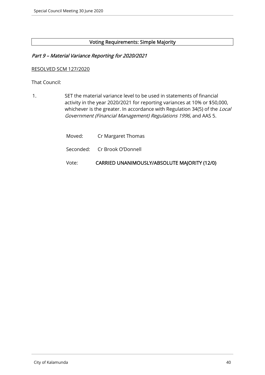## Voting Requirements: Simple Majority

## Part 9 – Material Variance Reporting for 2020/2021

#### RESOLVED SCM 127/2020

That Council:

1. SET the material variance level to be used in statements of financial activity in the year 2020/2021 for reporting variances at 10% or \$50,000, whichever is the greater. In accordance with Regulation 34(5) of the Local Government (Financial Management) Regulations 1996, and AAS 5.

| Vote: | CARRIED UNANIMOUSLY/ABSOLUTE MAJORITY (12/0) |
|-------|----------------------------------------------|
|       | Seconded: Cr Brook O'Donnell                 |
|       | Moved: Cr Margaret Thomas                    |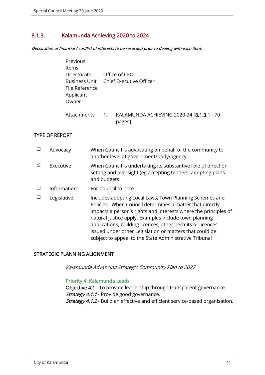# 8.1.3. Kalamunda Achieving 2020 to 2024

Declaration of financial / conflict of interests to be recorded prior to dealing with each item.

| Previous<br><b>Items</b><br>Directorate<br>File Reference<br>Applicant<br>Owner |                  | Office of CEO<br>Business Unit Chief Executive Officer |
|---------------------------------------------------------------------------------|------------------|--------------------------------------------------------|
| <b>Attachments</b>                                                              | $\overline{1}$ . | KALAMUNDA ACHIEVING 2020-24 [8.1.3.1 - 70<br>pages]    |

#### TYPE OF REPORT

|   | Advocacy    | When Council is advocating on behalf of the community to<br>another level of government/body/agency                                                                                                                                                                                                                                                                                                                                |
|---|-------------|------------------------------------------------------------------------------------------------------------------------------------------------------------------------------------------------------------------------------------------------------------------------------------------------------------------------------------------------------------------------------------------------------------------------------------|
| ☑ | Executive   | When Council is undertaking its substantive role of direction<br>setting and oversight (eg accepting tenders, adopting plans<br>and budgets                                                                                                                                                                                                                                                                                        |
|   | Information | For Council to note                                                                                                                                                                                                                                                                                                                                                                                                                |
|   | Legislative | Includes adopting Local Laws, Town Planning Schemes and<br>Policies. When Council determines a matter that directly<br>impacts a person's rights and interests where the principles of<br>natural justice apply. Examples include town planning<br>applications, building licences, other permits or licences<br>issued under other Legislation or matters that could be<br>subject to appeal to the State Administrative Tribunal |

## STRATEGIC PLANNING ALIGNMENT

Kalamunda Advancing Strategic Community Plan to 2027

#### Priority 4: Kalamunda Leads

Objective 4.1 - To provide leadership through transparent governance. Strategy 4.1.1 - Provide good governance. Strategy 4.1.2 - Build an effective and efficient service-based organisation.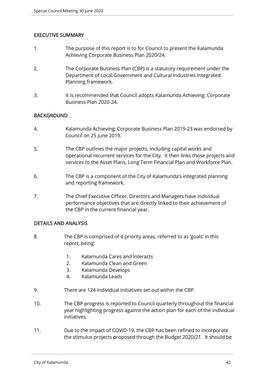## EXECUTIVE SUMMARY

- 1. The purpose of this report is to for Council to present the Kalamunda Achieving Corporate Business Plan 2020/24.
- 2. The Corporate Business Plan (CBP) is a statutory requirement under the Department of Local Government and Cultural Industries Integrated Planning framework.
- 3. It is recommended that Council adopts Kalamunda Achieving: Corporate Business Plan 2020-24.

## **BACKGROUND**

- 4. Kalamunda Achieving: Corporate Business Plan 2019-23 was endorsed by Council on 25 June 2019.
- 5. The CBP outlines the major projects, including capital works and operational recurrent services for the City. It then links those projects and services to the Asset Plans, Long Term Financial Plan and Workforce Plan.
- 6. The CBP is a component of the City of Kalamunda's integrated planning and reporting framework.
- 7. The Chief Executive Officer, Directors and Managers have individual performance objectives that are directly linked to their achievement of the CBP in the current financial year.

## DETAILS AND ANALYSIS

- 8. The CBP is comprised of 4 priority areas, referred to as 'goals' in this report, being:
	- 1. Kalamunda Cares and Interacts
	- 2. Kalamunda Clean and Green
	- 3. Kalamunda Develops
	- 4. Kalamunda Leads
- 9. There are 124 individual initiatives set out within the CBP.
- 10. The CBP progress is reported to Council quarterly throughout the financial year highlighting progress against the action plan for each of the individual initiatives.
- 11. Due to the impact of COVID-19, the CBP has been refined to incorporate the stimulus projects proposed through the Budget 2020/21. It should be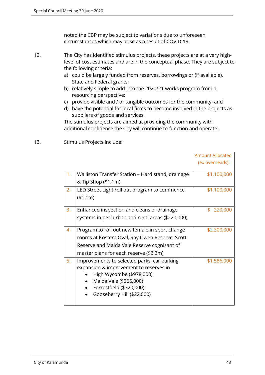noted the CBP may be subject to variations due to unforeseen circumstances which may arise as a result of COVID-19.

- 12. The City has identified stimulus projects, these projects are at a very highlevel of cost estimates and are in the conceptual phase. They are subject to the following criteria:
	- a) could be largely funded from reserves, borrowings or (if available), State and Federal grants;
	- b) relatively simple to add into the 2020/21 works program from a resourcing perspective;
	- c) provide visible and / or tangible outcomes for the community; and
	- d) have the potential for local firms to become involved in the projects as suppliers of goods and services.

The stimulus projects are aimed at providing the community with additional confidence the City will continue to function and operate.

13. Stimulus Projects include:

|    |                                                   | <b>Amount Allocated</b> |
|----|---------------------------------------------------|-------------------------|
|    |                                                   | (ex overheads)          |
|    |                                                   |                         |
| 1. | Walliston Transfer Station – Hard stand, drainage | \$1,100,000             |
|    | & Tip Shop (\$1.1m)                               |                         |
| 2. | LED Street Light roll out program to commence     | \$1,100,000             |
|    | (\$1.1m)                                          |                         |
|    |                                                   |                         |
| 3. | Enhanced inspection and cleans of drainage        | \$.<br>220,000          |
|    | systems in peri urban and rural areas (\$220,000) |                         |
| 4. | Program to roll out new female in sport change    | \$2,300,000             |
|    | rooms at Kostera Oval, Ray Owen Reserve, Scott    |                         |
|    | Reserve and Maida Vale Reserve cognisant of       |                         |
|    | master plans for each reserve (\$2.3m)            |                         |
| 5. | Improvements to selected parks, car parking       | \$1,586,000             |
|    | expansion & improvement to reserves in            |                         |
|    | High Wycombe (\$978,000)                          |                         |
|    | Maida Vale (\$266,000)                            |                         |
|    | Forrestfield (\$320,000)                          |                         |
|    | Gooseberry Hill (\$22,000)                        |                         |
|    |                                                   |                         |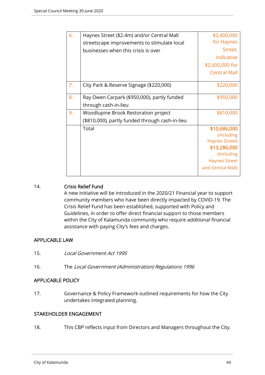| 6. | Haynes Street (\$2.4m) and/or Central Mall      | \$2,400,000           |
|----|-------------------------------------------------|-----------------------|
|    | streetscape improvements to stimulate local     | for Haynes            |
|    | businesses when this crisis is over             | Street,               |
|    |                                                 | indicative            |
|    |                                                 | \$2,600,000 for       |
|    |                                                 | <b>Central Mall</b>   |
| 7. | City Park & Reserve Signage (\$220,000)         | \$220,000             |
|    |                                                 |                       |
| 8. | Ray Owen Carpark (\$950,000), partly funded     | \$950,000             |
|    | through cash-in-lieu                            |                       |
| 9. | Woodlupine Brook Restoration project            | \$810,000             |
|    | (\$810,000), partly funded through cash-in-lieu |                       |
|    | Total                                           | \$10,686,000          |
|    |                                                 | (including            |
|    |                                                 | <b>Haynes Street)</b> |
|    |                                                 | \$13,286,000          |
|    |                                                 | (including            |
|    |                                                 | <b>Haynes Street</b>  |
|    |                                                 | and Central Mall)     |
|    |                                                 |                       |

## 14. Crisis Relief Fund

A new initiative will be introduced in the 2020/21 Financial year to support community members who have been directly impacted by COVID-19. The Crisis Relief Fund has been established, supported with Policy and Guidelines, in order to offer direct financial support to those members within the City of Kalamunda community who require additional financial assistance with paying City's fees and charges.

## APPLICABLE LAW

- 15. Local Government Act 1995
- 16. The Local Government (Administration) Regulations 1996

## APPLICABLE POLICY

17. Governance & Policy Framework outlined requirements for how the City undertakes integrated planning.

## STAKEHOLDER ENGAGEMENT

18. This CBP reflects input from Directors and Managers throughout the City.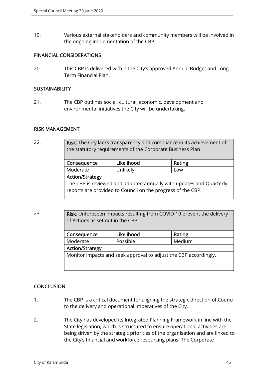19. Various external stakeholders and community members will be involved in the ongoing implementation of the CBP.

#### FINANCIAL CONSIDERATIONS

20. This CBP is delivered within the City's approved Annual Budget and Long-Term Financial Plan.

#### **SUSTAINABILITY**

21. The CBP outlines social, cultural, economic, development and environmental initiatives the City will be undertaking.

#### RISK MANAGEMENT

22. **Risk:** The City lacks transparency and compliance in its achievement of the statutory requirements of the Corporate Business Plan

| Likelihood                                                                                                                         | Rating |  |  |  |
|------------------------------------------------------------------------------------------------------------------------------------|--------|--|--|--|
| Unlikely                                                                                                                           | Low    |  |  |  |
| <b>Action/Strategy</b>                                                                                                             |        |  |  |  |
| The CBP is reviewed and adopted annually with updates and Quarterly<br>reports are provided to Council on the progress of the CBP. |        |  |  |  |
|                                                                                                                                    |        |  |  |  |

23. Risk: Unforeseen impacts resulting from COVID-19 prevent the delivery of Actions as set out in the CBP.

| Consequence                                                      | Likelihood | Rating |  |  |
|------------------------------------------------------------------|------------|--------|--|--|
| Moderate                                                         | Medium     |        |  |  |
| <b>Action/Strategy</b>                                           |            |        |  |  |
| Monitor impacts and seek approval to adjust the CBP accordingly. |            |        |  |  |

## **CONCLUSION**

- 1. The CBP is a critical document for aligning the strategic direction of Council to the delivery and operational imperatives of the City.
- 2. The City has developed its Integrated Planning Framework in line with the State legislation, which is structured to ensure operational activities are being driven by the strategic priorities of the organisation and are linked to the City's financial and workforce resourcing plans. The Corporate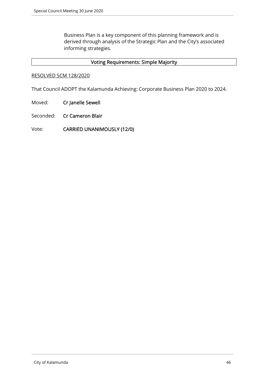Business Plan is a key component of this planning framework and is derived through analysis of the Strategic Plan and the City's associated informing strategies.

## Voting Requirements: Simple Majority

#### RESOLVED SCM 128/2020

That Council ADOPT the Kalamunda Achieving: Corporate Business Plan 2020 to 2024.

- Moved: Cr Janelle Sewell
- Seconded: Cr Cameron Blair
- Vote: CARRIED UNANIMOUSLY (12/0)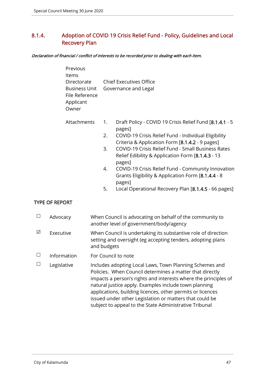# 8.1.4. Adoption of COVID 19 Crisis Relief Fund - Policy, Guidelines and Local Recovery Plan

#### Declaration of financial / conflict of interests to be recorded prior to dealing with each item.

| Previous<br>Items<br>Directorate<br><b>Business Unit</b><br>File Reference<br>Applicant<br>Owner |                | <b>Chief Executives Office</b><br>Governance and Legal                                                                                                                                                                                                                                            |
|--------------------------------------------------------------------------------------------------|----------------|---------------------------------------------------------------------------------------------------------------------------------------------------------------------------------------------------------------------------------------------------------------------------------------------------|
| Attachments                                                                                      | 1.<br>2.<br>3. | Draft Policy - COVID 19 Crisis Relief Fund [8.1.4.1 - 5<br>pages]<br>COVID-19 Crisis Relief Fund - Individual Eligibility<br>Criteria & Application Form [8.1.4.2 - 9 pages]<br>COVID-19 Crisis Relief Fund - Small Business Rates<br>Relief Edibility & Application Form [8.1.4.3 - 13<br>pages] |
|                                                                                                  | 4.             | COVID-19 Crisis Relief Fund - Community Innovation<br>Grants Eligibility & Application Form [8.1.4.4 - 8<br>pages]                                                                                                                                                                                |
|                                                                                                  | Е.             | Local Operational Recovery Plan $[0, 1, 1]$ = 66 pages                                                                                                                                                                                                                                            |

#### 5. Local Operational Recovery Plan [8.1.4.5 - 66 pages]

## TYPE OF REPORT

|   | Advocacy    | When Council is advocating on behalf of the community to<br>another level of government/body/agency                                                                                                                                                                                                                                                                                                                                |
|---|-------------|------------------------------------------------------------------------------------------------------------------------------------------------------------------------------------------------------------------------------------------------------------------------------------------------------------------------------------------------------------------------------------------------------------------------------------|
| ⊠ | Executive   | When Council is undertaking its substantive role of direction<br>setting and oversight (eg accepting tenders, adopting plans<br>and budgets                                                                                                                                                                                                                                                                                        |
|   | Information | For Council to note                                                                                                                                                                                                                                                                                                                                                                                                                |
|   | Legislative | Includes adopting Local Laws, Town Planning Schemes and<br>Policies. When Council determines a matter that directly<br>impacts a person's rights and interests where the principles of<br>natural justice apply. Examples include town planning<br>applications, building licences, other permits or licences<br>issued under other Legislation or matters that could be<br>subject to appeal to the State Administrative Tribunal |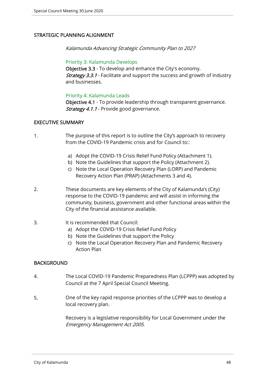## STRATEGIC PLANNING ALIGNMENT

Kalamunda Advancing Strategic Community Plan to 2027

#### Priority 3: Kalamunda Develops

Objective 3.3 - To develop and enhance the City's economy. **Strategy 3.3.1** - Facilitate and support the success and growth of industry and businesses.

#### Priority 4: Kalamunda Leads

Objective 4.1 - To provide leadership through transparent governance. Strategy 4.1.1 - Provide good governance.

#### EXECUTIVE SUMMARY

- 1. The purpose of this report is to outline the City's approach to recovery from the COVID-19 Pandemic crisis and for Council to::
	- a) Adopt the COVID-19 Crisis Relief Fund Policy (Attachment 1).
	- b) Note the Guidelines that support the Policy (Attachment 2).
	- c) Note the Local Operation Recovery Plan (LORP) and Pandemic Recovery Action Plan (PRAP) (Attachments 3 and 4).
- 2. These documents are key elements of the City of Kalamunda's (City) response to the COVID-19 pandemic and will assist in informing the community, business, government and other functional areas within the City of the financial assistance available.

#### 3. It is recommended that Council:

- a) Adopt the COVID-19 Crisis Relief Fund Policy
- b) Note the Guidelines that support the Policy
- c) Note the Local Operation Recovery Plan and Pandemic Recovery Action Plan

## **BACKGROUND**

- 4. The Local COVID-19 Pandemic Preparedness Plan (LCPPP) was adopted by Council at the 7 April Special Council Meeting.
- 5. One of the key rapid response priorities of the LCPPP was to develop a local recovery plan.

Recovery is a legislative responsibility for Local Government under the Emergency Management Act 2005.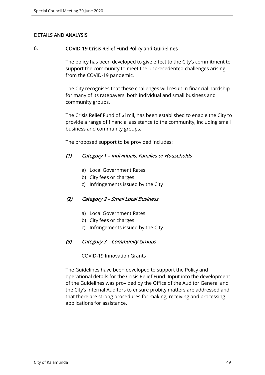## DETAILS AND ANALYSIS

### 6. COVID-19 Crisis Relief Fund Policy and Guidelines

The policy has been developed to give effect to the City's commitment to support the community to meet the unprecedented challenges arising from the COVID-19 pandemic.

The City recognises that these challenges will result in financial hardship for many of its ratepayers, both individual and small business and community groups.

The Crisis Relief Fund of \$1mil, has been established to enable the City to provide a range of financial assistance to the community, including small business and community groups.

The proposed support to be provided includes:

## (1) Category 1 – Individuals, Families or Households

- a) Local Government Rates
- b) City fees or charges
- c) Infringements issued by the City

## (2) Category 2 – Small Local Business

- a) Local Government Rates
- b) City fees or charges
- c) Infringements issued by the City

## (3) Category 3 – Community Groups

COVID-19 Innovation Grants

The Guidelines have been developed to support the Policy and operational details for the Crisis Relief Fund. Input into the development of the Guidelines was provided by the Office of the Auditor General and the City's Internal Auditors to ensure probity matters are addressed and that there are strong procedures for making, receiving and processing applications for assistance.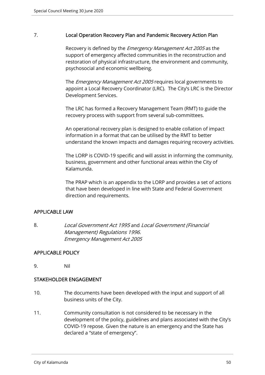## 7. Local Operation Recovery Plan and Pandemic Recovery Action Plan

Recovery is defined by the *Emergency Management Act 2005* as the support of emergency affected communities in the reconstruction and restoration of physical infrastructure, the environment and community, psychosocial and economic wellbeing.

The *Emergency Management Act 2005* requires local governments to appoint a Local Recovery Coordinator (LRC). The City's LRC is the Director Development Services.

The LRC has formed a Recovery Management Team (RMT) to guide the recovery process with support from several sub-committees.

An operational recovery plan is designed to enable collation of impact information in a format that can be utilised by the RMT to better understand the known impacts and damages requiring recovery activities.

The LORP is COVID-19 specific and will assist in informing the community, business, government and other functional areas within the City of Kalamunda.

The PRAP which is an appendix to the LORP and provides a set of actions that have been developed in line with State and Federal Government direction and requirements.

## APPLICABLE LAW

8. Local Government Act 1995 and Local Government (Financial Management) Regulations 1996. Emergency Management Act 2005

## APPLICABLE POLICY

9. Nil

## STAKEHOLDER ENGAGEMENT

- 10. The documents have been developed with the input and support of all business units of the City.
- 11. Community consultation is not considered to be necessary in the development of the policy, guidelines and plans associated with the City's COVID-19 repose. Given the nature is an emergency and the State has declared a "state of emergency".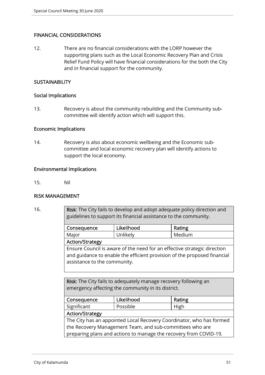## FINANCIAL CONSIDERATIONS

12. There are no financial considerations with the LORP however the supporting plans such as the Local Economic Recovery Plan and Crisis Relief Fund Policy will have financial considerations for the both the City and in financial support for the community.

## **SUSTAINABILITY**

#### Social Implications

13. Recovery is about the community rebuilding and the Community subcommittee will identify action which will support this.

#### Economic Implications

14. Recovery is also about economic wellbeing and the Economic subcommittee and local economic recovery plan will identify actions to support the local economy.

#### Environmental Implications

15. Nil

## RISK MANAGEMENT

16. **Risk:** The City fails to develop and adopt adequate policy direction and guidelines to support its financial assistance to the community.

| Consequence                                                              | Likelihood | Rating |  |  |  |
|--------------------------------------------------------------------------|------------|--------|--|--|--|
| Major                                                                    | Unlikely   | Medium |  |  |  |
| <b>Action/Strategy</b>                                                   |            |        |  |  |  |
| Ensure Council is aware of the need for an effective strategic direction |            |        |  |  |  |
| and guidance to enable the efficient provision of the proposed financial |            |        |  |  |  |
| assistance to the community.                                             |            |        |  |  |  |

Risk: The City fails to adequately manage recovery following an emergency affecting the community in its district.

| Consequence                                                          | Likelihood | Rating |  |  |  |  |
|----------------------------------------------------------------------|------------|--------|--|--|--|--|
| Significant                                                          | Possible   | High   |  |  |  |  |
| <b>Action/Strategy</b>                                               |            |        |  |  |  |  |
| The City has an appointed Local Recovery Coordinator, who has formed |            |        |  |  |  |  |
| the Recovery Management Team, and sub-committees who are             |            |        |  |  |  |  |
| preparing plans and actions to manage the recovery from COVID-19.    |            |        |  |  |  |  |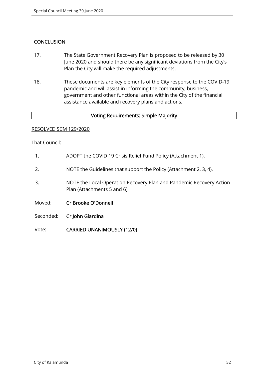## **CONCLUSION**

- 17. The State Government Recovery Plan is proposed to be released by 30 June 2020 and should there be any significant deviations from the City's Plan the City will make the required adjustments.
- 18. These documents are key elements of the City response to the COVID-19 pandemic and will assist in informing the community, business, government and other functional areas within the City of the financial assistance available and recovery plans and actions.

## Voting Requirements: Simple Majority

#### RESOLVED SCM 129/2020

That Council:

- 1. ADOPT the COVID 19 Crisis Relief Fund Policy (Attachment 1).
- 2. NOTE the Guidelines that support the Policy (Attachment 2, 3, 4).
- 3. NOTE the Local Operation Recovery Plan and Pandemic Recovery Action Plan (Attachments 5 and 6)
- Moved: Cr Brooke O'Donnell
- Seconded: Cr John Giardina
- Vote: CARRIED UNANIMOUSLY (12/0)